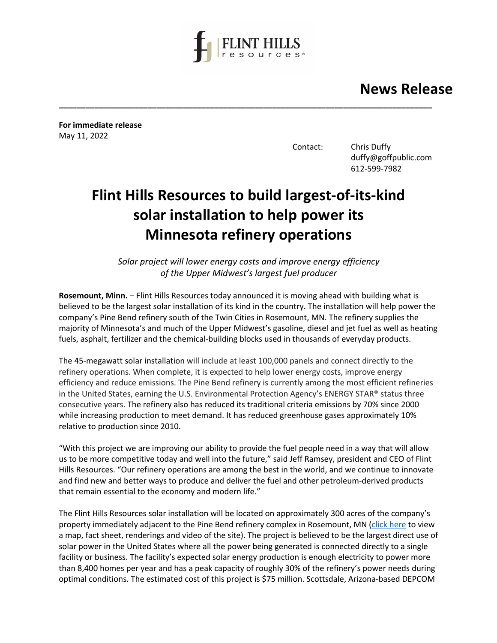

**\_\_\_\_\_\_\_\_\_\_\_\_\_\_\_\_\_\_\_\_\_\_\_\_\_\_\_\_\_\_\_\_\_\_\_\_\_\_\_\_\_\_\_\_\_\_\_\_\_\_\_\_\_\_\_\_\_\_\_\_\_\_\_\_\_\_\_\_\_\_\_\_\_\_\_\_\_\_\_\_\_\_\_\_**

 **News Release**

**For immediate release** May 11, 2022

Contact: Chris Duffy duffy@goffpublic.com 612-599-7982

## **Flint Hills Resources to build largest-of-its-kind solar installation to help power its Minnesota refinery operations**

*Solar project will lower energy costs and improve energy efficiency of the Upper Midwest's largest fuel producer*

**Rosemount, Minn.** – Flint Hills Resources today announced it is moving ahead with building what is believed to be the largest solar installation of its kind in the country. The installation will help power the company's Pine Bend refinery south of the Twin Cities in Rosemount, MN. The refinery supplies the majority of Minnesota's and much of the Upper Midwest's gasoline, diesel and jet fuel as well as heating fuels, asphalt, fertilizer and the chemical-building blocks used in thousands of everyday products.

The 45-megawatt solar installation will include at least 100,000 panels and connect directly to the refinery operations. When complete, it is expected to help lower energy costs, improve energy efficiency and reduce emissions. The Pine Bend refinery is currently among the most efficient refineries in the United States, earning the U.S. Environmental Protection Agency's ENERGY STAR® status three consecutive years. The refinery also has reduced its traditional criteria emissions by 70% since 2000 while increasing production to meet demand. It has reduced greenhouse gases approximately 10% relative to production since 2010.

"With this project we are improving our ability to provide the fuel people need in a way that will allow us to be more competitive today and well into the future," said Jeff Ramsey, president and CEO of Flint Hills Resources. "Our refinery operations are among the best in the world, and we continue to innovate and find new and better ways to produce and deliver the fuel and other petroleum-derived products that remain essential to the economy and modern life."

The Flint Hills Resources solar installation will be located on approximately 300 acres of the company's property immediately adjacent to the Pine Bend refinery complex in Rosemount, MN [\(click here](https://drive.google.com/drive/folders/1xJInlJ8jtnX_jNlHbnGA6noDYu6SstZg) to view a map, fact sheet, renderings and video of the site). The project is believed to be the largest direct use of solar power in the United States where all the power being generated is connected directly to a single facility or business. The facility's expected solar energy production is enough electricity to power more than 8,400 homes per year and has a peak capacity of roughly 30% of the refinery's power needs during optimal conditions. The estimated cost of this project is \$75 million. Scottsdale, Arizona-based DEPCOM